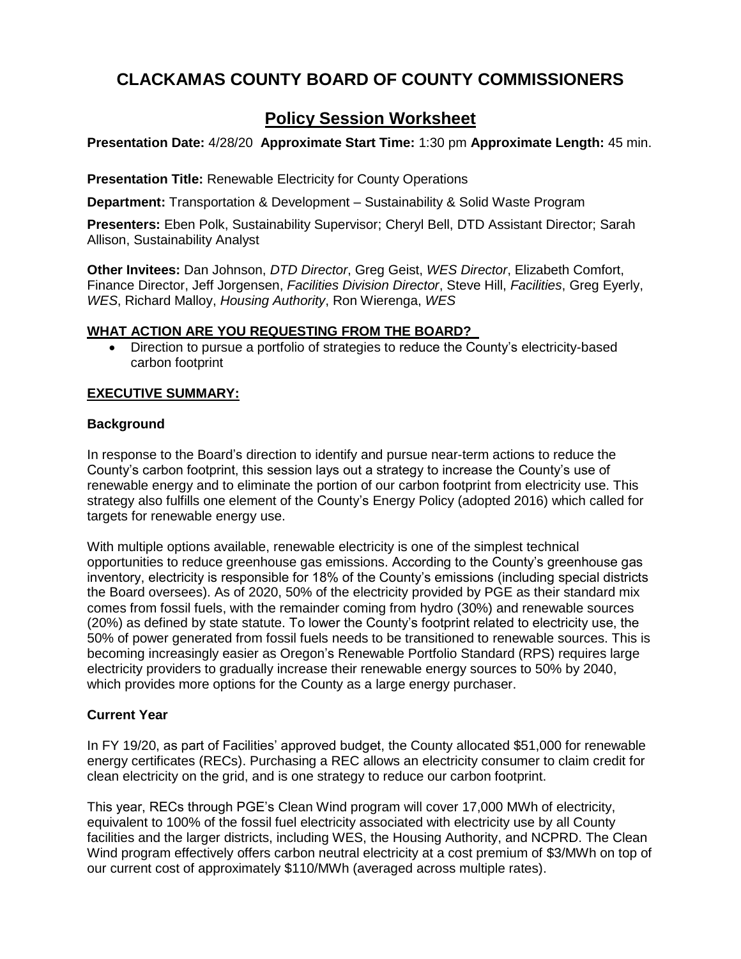#### **CLACKAMAS COUNTY BOARD OF COUNTY COMMISSIONERS**

#### **Policy Session Worksheet**

**Presentation Date:** 4/28/20 **Approximate Start Time:** 1:30 pm **Approximate Length:** 45 min.

**Presentation Title:** Renewable Electricity for County Operations

**Department:** Transportation & Development – Sustainability & Solid Waste Program

**Presenters:** Eben Polk, Sustainability Supervisor; Cheryl Bell, DTD Assistant Director; Sarah Allison, Sustainability Analyst

**Other Invitees:** Dan Johnson, *DTD Director*, Greg Geist, *WES Director*, Elizabeth Comfort, Finance Director, Jeff Jorgensen, *Facilities Division Director*, Steve Hill, *Facilities*, Greg Eyerly, *WES*, Richard Malloy, *Housing Authority*, Ron Wierenga, *WES*

#### **WHAT ACTION ARE YOU REQUESTING FROM THE BOARD?**

 Direction to pursue a portfolio of strategies to reduce the County's electricity-based carbon footprint

#### **EXECUTIVE SUMMARY:**

#### **Background**

In response to the Board's direction to identify and pursue near-term actions to reduce the County's carbon footprint, this session lays out a strategy to increase the County's use of renewable energy and to eliminate the portion of our carbon footprint from electricity use. This strategy also fulfills one element of the County's Energy Policy (adopted 2016) which called for targets for renewable energy use.

With multiple options available, renewable electricity is one of the simplest technical opportunities to reduce greenhouse gas emissions. According to the County's greenhouse gas inventory, electricity is responsible for 18% of the County's emissions (including special districts the Board oversees). As of 2020, 50% of the electricity provided by PGE as their standard mix comes from fossil fuels, with the remainder coming from hydro (30%) and renewable sources (20%) as defined by state statute. To lower the County's footprint related to electricity use, the 50% of power generated from fossil fuels needs to be transitioned to renewable sources. This is becoming increasingly easier as Oregon's Renewable Portfolio Standard (RPS) requires large electricity providers to gradually increase their renewable energy sources to 50% by 2040, which provides more options for the County as a large energy purchaser.

#### **Current Year**

In FY 19/20, as part of Facilities' approved budget, the County allocated \$51,000 for renewable energy certificates (RECs). Purchasing a REC allows an electricity consumer to claim credit for clean electricity on the grid, and is one strategy to reduce our carbon footprint.

This year, RECs through PGE's Clean Wind program will cover 17,000 MWh of electricity, equivalent to 100% of the fossil fuel electricity associated with electricity use by all County facilities and the larger districts, including WES, the Housing Authority, and NCPRD. The Clean Wind program effectively offers carbon neutral electricity at a cost premium of \$3/MWh on top of our current cost of approximately \$110/MWh (averaged across multiple rates).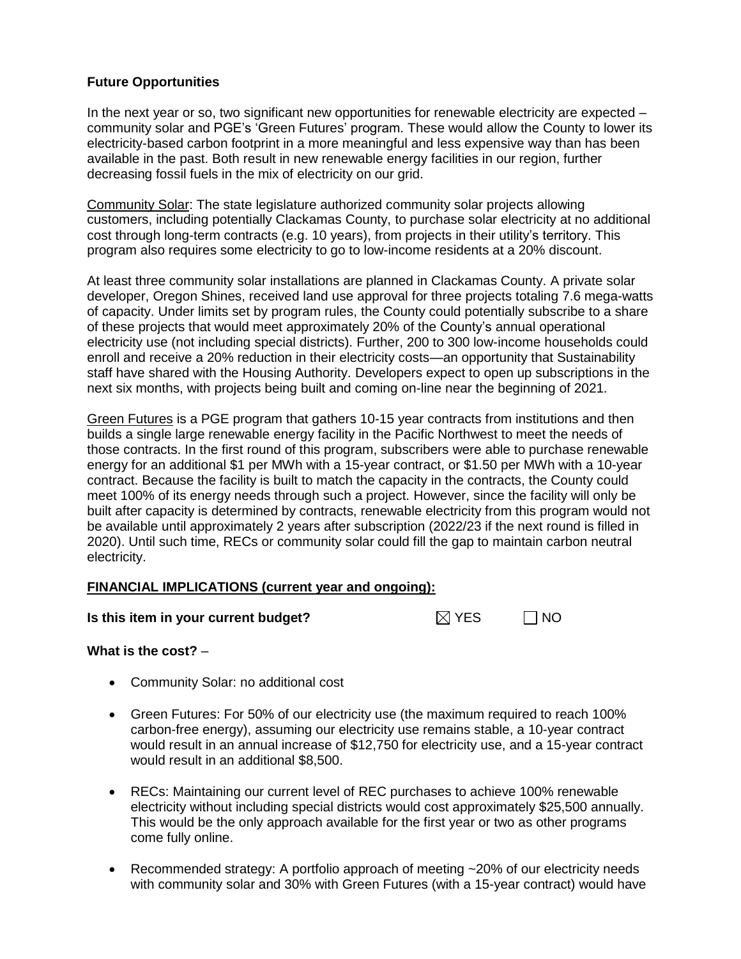#### **Future Opportunities**

In the next year or so, two significant new opportunities for renewable electricity are expected – community solar and PGE's 'Green Futures' program. These would allow the County to lower its electricity-based carbon footprint in a more meaningful and less expensive way than has been available in the past. Both result in new renewable energy facilities in our region, further decreasing fossil fuels in the mix of electricity on our grid.

Community Solar: The state legislature authorized community solar projects allowing customers, including potentially Clackamas County, to purchase solar electricity at no additional cost through long-term contracts (e.g. 10 years), from projects in their utility's territory. This program also requires some electricity to go to low-income residents at a 20% discount.

At least three community solar installations are planned in Clackamas County. A private solar developer, Oregon Shines, received land use approval for three projects totaling 7.6 mega-watts of capacity. Under limits set by program rules, the County could potentially subscribe to a share of these projects that would meet approximately 20% of the County's annual operational electricity use (not including special districts). Further, 200 to 300 low-income households could enroll and receive a 20% reduction in their electricity costs—an opportunity that Sustainability staff have shared with the Housing Authority. Developers expect to open up subscriptions in the next six months, with projects being built and coming on-line near the beginning of 2021.

Green Futures is a PGE program that gathers 10-15 year contracts from institutions and then builds a single large renewable energy facility in the Pacific Northwest to meet the needs of those contracts. In the first round of this program, subscribers were able to purchase renewable energy for an additional \$1 per MWh with a 15-year contract, or \$1.50 per MWh with a 10-year contract. Because the facility is built to match the capacity in the contracts, the County could meet 100% of its energy needs through such a project. However, since the facility will only be built after capacity is determined by contracts, renewable electricity from this program would not be available until approximately 2 years after subscription (2022/23 if the next round is filled in 2020). Until such time, RECs or community solar could fill the gap to maintain carbon neutral electricity.

#### **FINANCIAL IMPLICATIONS (current year and ongoing):**

#### **Is this item in your current budget?**  $\boxtimes$  YES  $\Box$  NO

| $\boxtimes$ YES | 1 NC |
|-----------------|------|
|-----------------|------|

#### **What is the cost?** –

- Community Solar: no additional cost
- Green Futures: For 50% of our electricity use (the maximum required to reach 100% carbon-free energy), assuming our electricity use remains stable, a 10-year contract would result in an annual increase of \$12,750 for electricity use, and a 15-year contract would result in an additional \$8,500.
- RECs: Maintaining our current level of REC purchases to achieve 100% renewable electricity without including special districts would cost approximately \$25,500 annually. This would be the only approach available for the first year or two as other programs come fully online.
- Recommended strategy: A portfolio approach of meeting ~20% of our electricity needs with community solar and 30% with Green Futures (with a 15-year contract) would have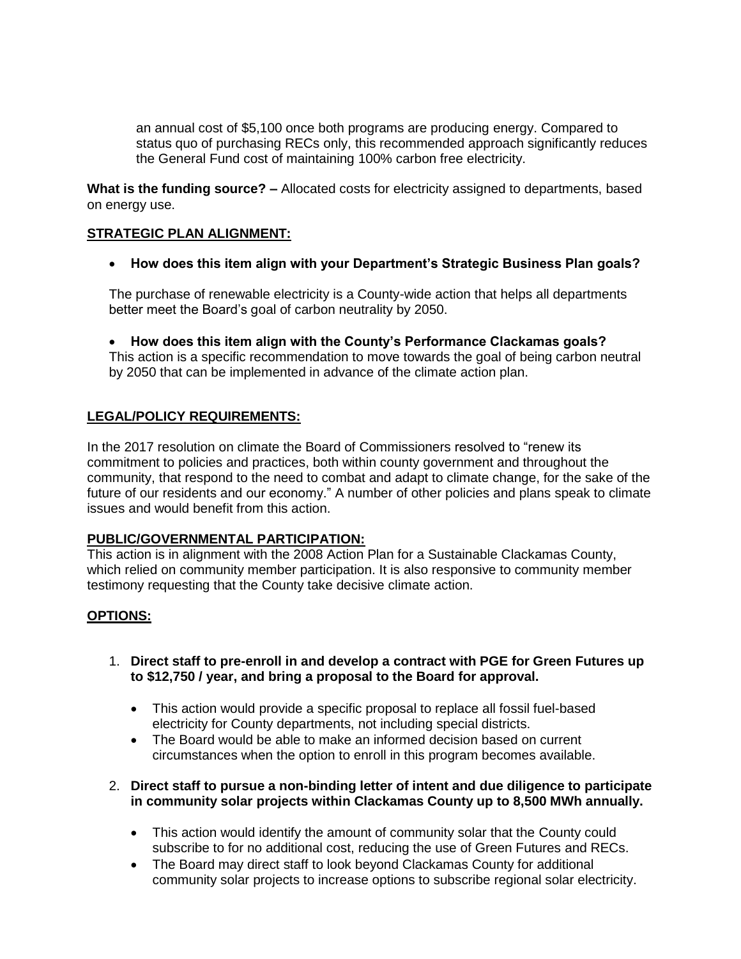an annual cost of \$5,100 once both programs are producing energy. Compared to status quo of purchasing RECs only, this recommended approach significantly reduces the General Fund cost of maintaining 100% carbon free electricity.

**What is the funding source? –** Allocated costs for electricity assigned to departments, based on energy use.

#### **STRATEGIC PLAN ALIGNMENT:**

**How does this item align with your Department's Strategic Business Plan goals?**

The purchase of renewable electricity is a County-wide action that helps all departments better meet the Board's goal of carbon neutrality by 2050.

 **How does this item align with the County's Performance Clackamas goals?** This action is a specific recommendation to move towards the goal of being carbon neutral by 2050 that can be implemented in advance of the climate action plan.

#### **LEGAL/POLICY REQUIREMENTS:**

In the 2017 resolution on climate the Board of Commissioners resolved to "renew its commitment to policies and practices, both within county government and throughout the community, that respond to the need to combat and adapt to climate change, for the sake of the future of our residents and our economy." A number of other policies and plans speak to climate issues and would benefit from this action.

#### **PUBLIC/GOVERNMENTAL PARTICIPATION:**

This action is in alignment with the 2008 Action Plan for a Sustainable Clackamas County, which relied on community member participation. It is also responsive to community member testimony requesting that the County take decisive climate action.

#### **OPTIONS:**

- 1. **Direct staff to pre-enroll in and develop a contract with PGE for Green Futures up to \$12,750 / year, and bring a proposal to the Board for approval.**
	- This action would provide a specific proposal to replace all fossil fuel-based electricity for County departments, not including special districts.
	- The Board would be able to make an informed decision based on current circumstances when the option to enroll in this program becomes available.
- 2. **Direct staff to pursue a non-binding letter of intent and due diligence to participate in community solar projects within Clackamas County up to 8,500 MWh annually.**
	- This action would identify the amount of community solar that the County could subscribe to for no additional cost, reducing the use of Green Futures and RECs.
	- The Board may direct staff to look beyond Clackamas County for additional community solar projects to increase options to subscribe regional solar electricity.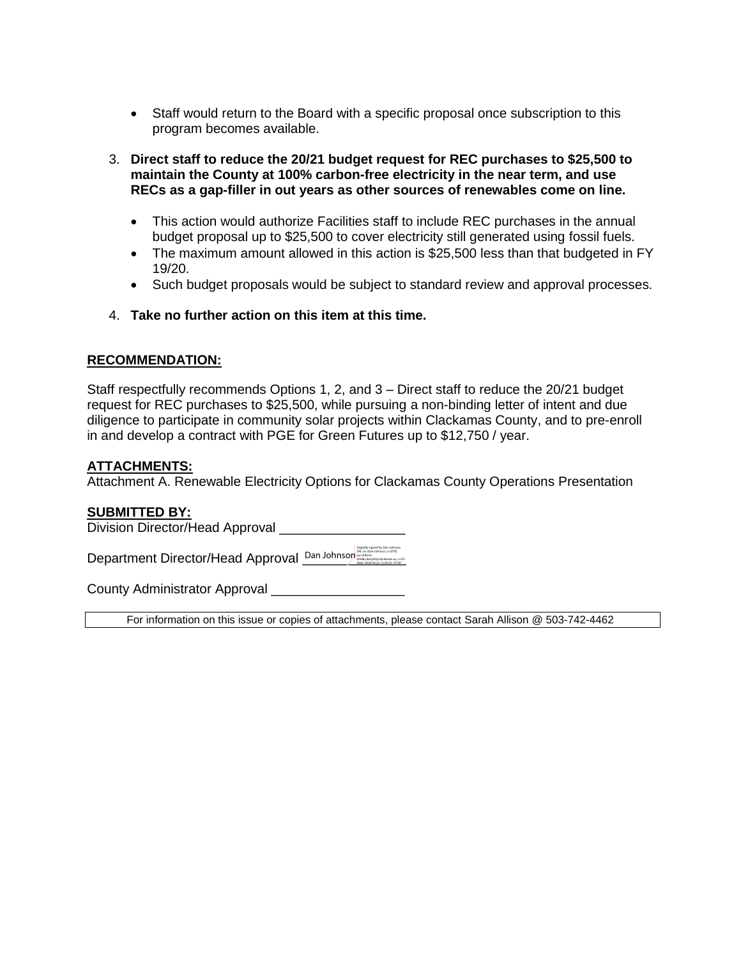- Staff would return to the Board with a specific proposal once subscription to this program becomes available.
- 3. **Direct staff to reduce the 20/21 budget request for REC purchases to \$25,500 to maintain the County at 100% carbon-free electricity in the near term, and use RECs as a gap-filler in out years as other sources of renewables come on line.**
	- This action would authorize Facilities staff to include REC purchases in the annual budget proposal up to \$25,500 to cover electricity still generated using fossil fuels.
	- The maximum amount allowed in this action is \$25,500 less than that budgeted in FY 19/20.
	- Such budget proposals would be subject to standard review and approval processes.
- 4. **Take no further action on this item at this time.**

#### **RECOMMENDATION:**

Staff respectfully recommends Options 1, 2, and 3 – Direct staff to reduce the 20/21 budget request for REC purchases to \$25,500, while pursuing a non-binding letter of intent and due diligence to participate in community solar projects within Clackamas County, and to pre-enroll in and develop a contract with PGE for Green Futures up to \$12,750 / year.

#### **ATTACHMENTS:**

Attachment A. Renewable Electricity Options for Clackamas County Operations Presentation

#### **SUBMITTED BY:**

Division Director/Head Approval

Department Director/Head Approval **Dan Johnson** 

County Administrator Approval \_\_\_\_\_\_\_\_\_\_\_\_\_\_\_\_\_\_

For information on this issue or copies of attachments, please contact Sarah Allison @ 503-742-4462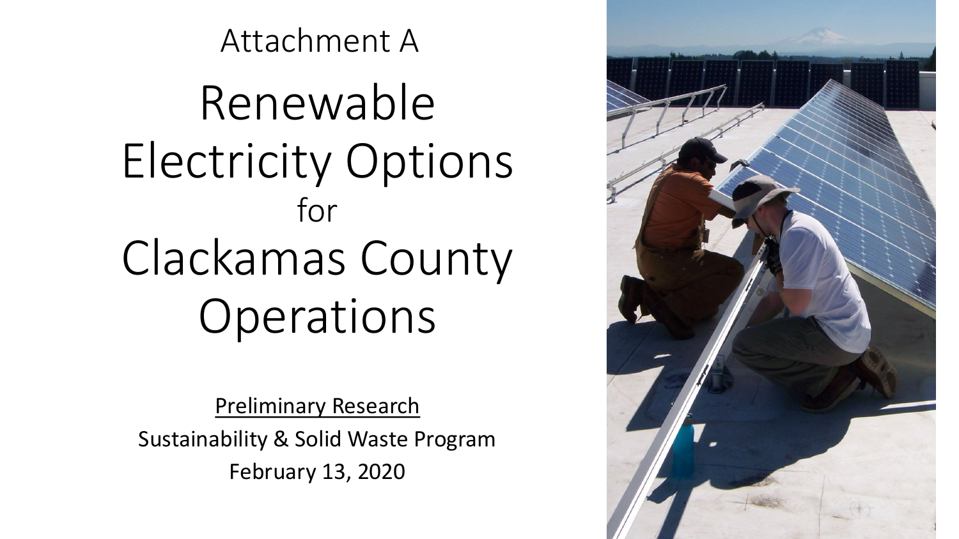Renewable Electricity Options for Clackamas County Operations

Attachment A

Preliminary Research Sustainability & Solid Waste Program February 13, 2020

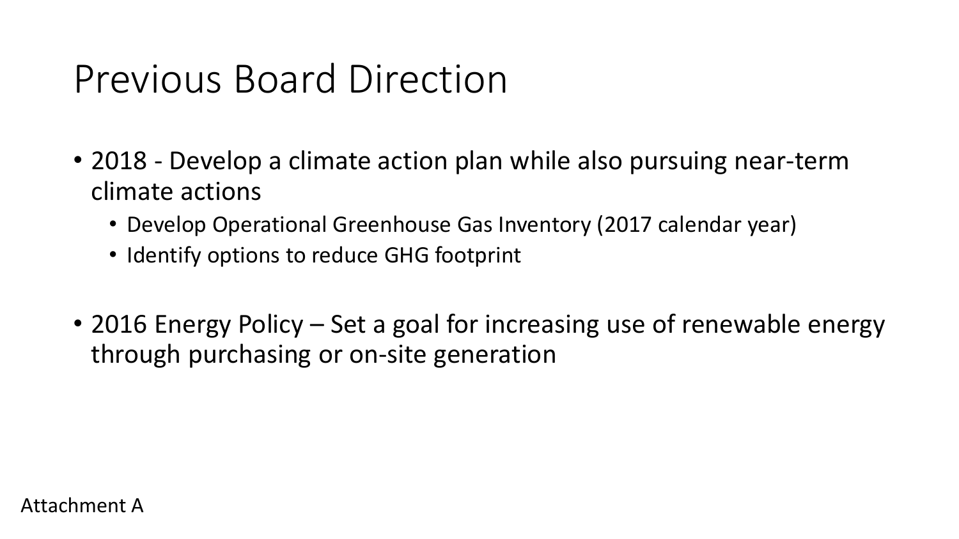## Previous Board Direction

- 2018 Develop a climate action plan while also pursuing near-term climate actions
	- Develop Operational Greenhouse Gas Inventory (2017 calendar year)
	- Identify options to reduce GHG footprint
- 2016 Energy Policy Set a goal for increasing use of renewable energy through purchasing or on-site generation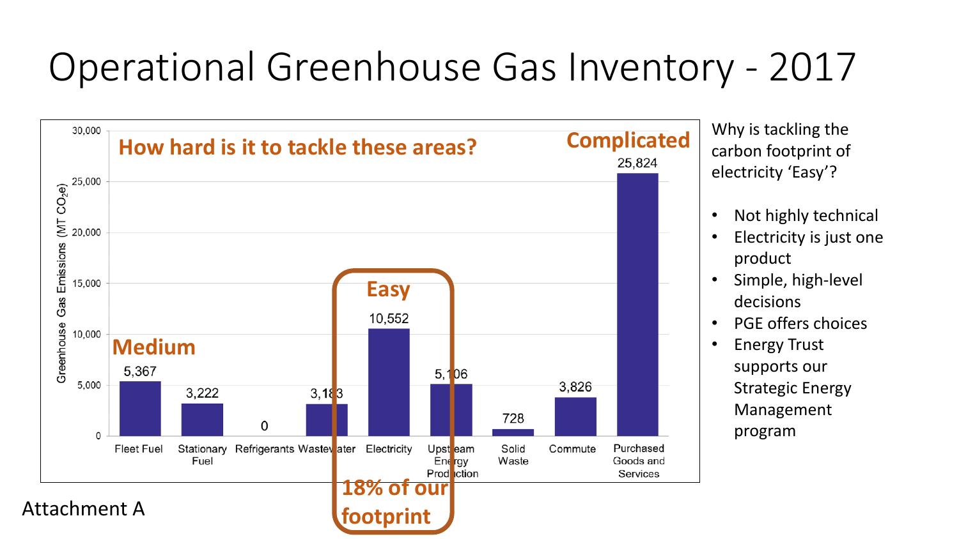## Operational Greenhouse Gas Inventory - 2017



Why is tackling the carbon footprint of electricity 'Easy'?

- Not highly technical
- Electricity is just one product
- Simple, high-level decisions
- PGE offers choices
- Energy Trust supports our Strategic Energy Management program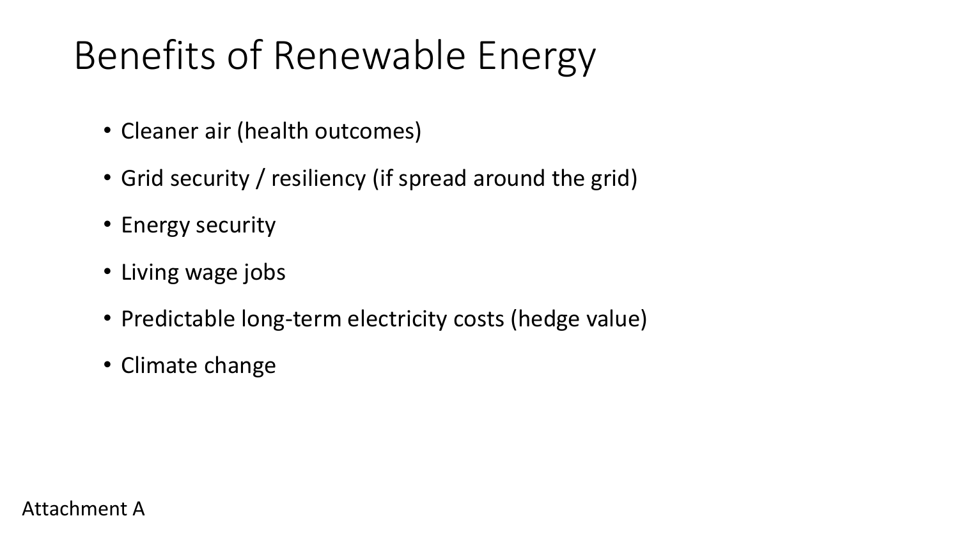## Benefits of Renewable Energy

- Cleaner air (health outcomes)
- Grid security / resiliency (if spread around the grid)
- Energy security
- Living wage jobs
- Predictable long-term electricity costs (hedge value)
- Climate change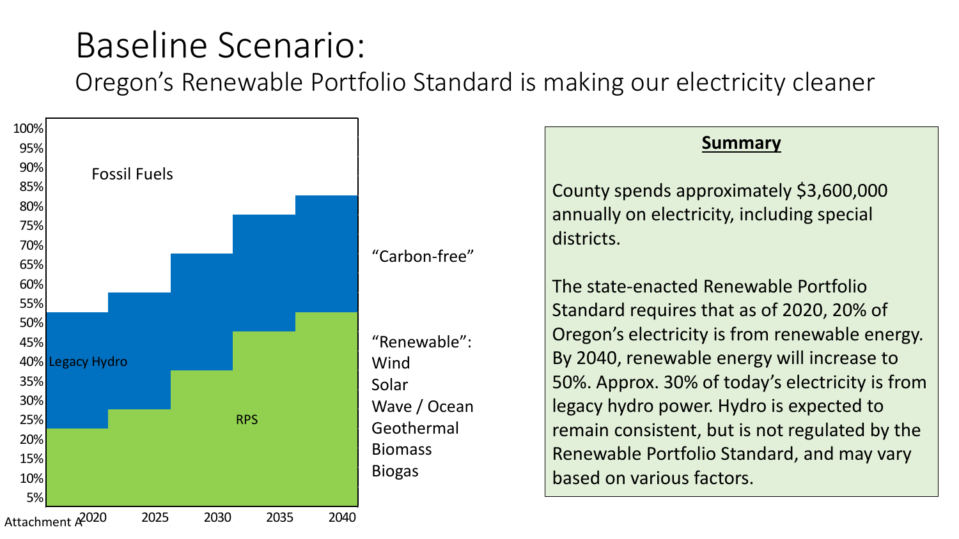### Baseline Scenario:

Oregon's Renewable Portfolio Standard is making our electricity cleaner

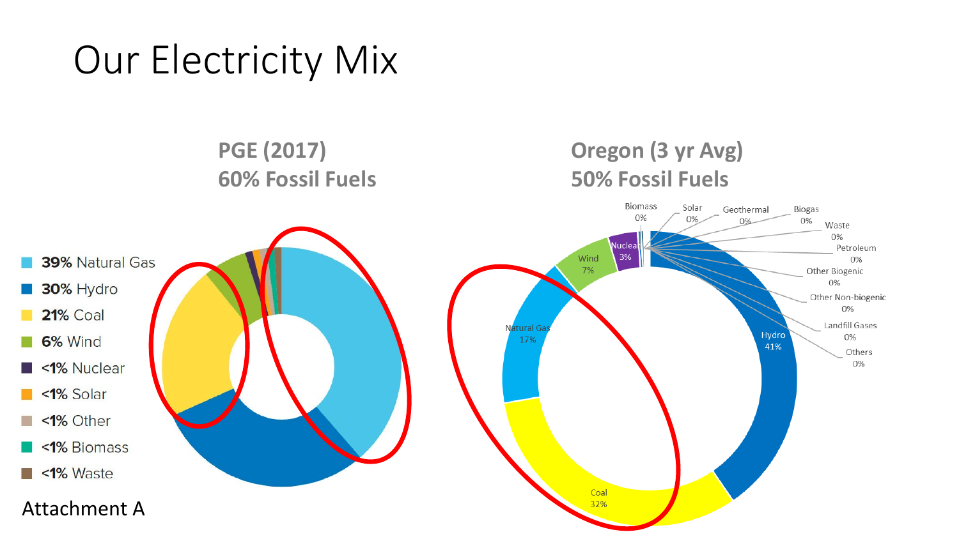## Our Electricity Mix

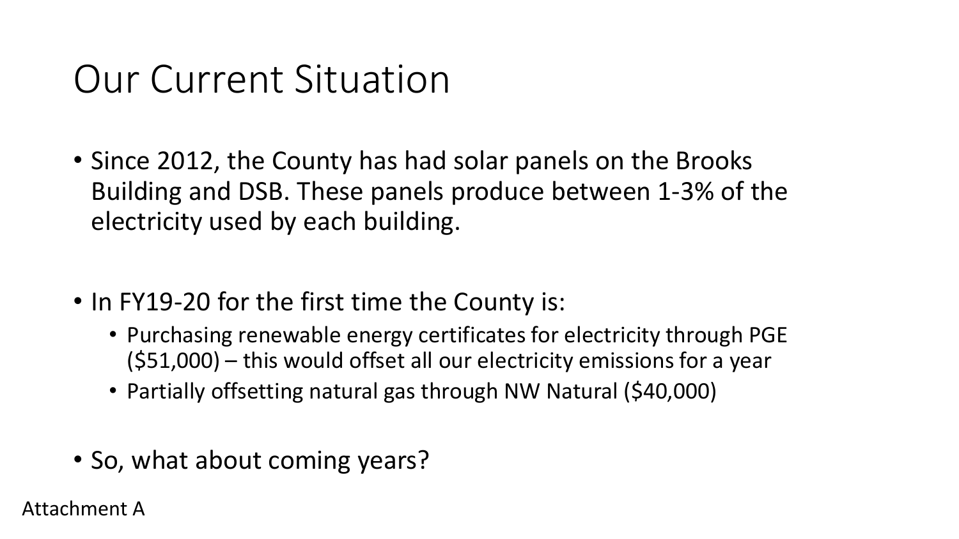## Our Current Situation

- Since 2012, the County has had solar panels on the Brooks Building and DSB. These panels produce between 1-3% of the electricity used by each building.
- In FY19-20 for the first time the County is:
	- Purchasing renewable energy certificates for electricity through PGE (\$51,000) – this would offset all our electricity emissions for a year
	- Partially offsetting natural gas through NW Natural (\$40,000)
- So, what about coming years?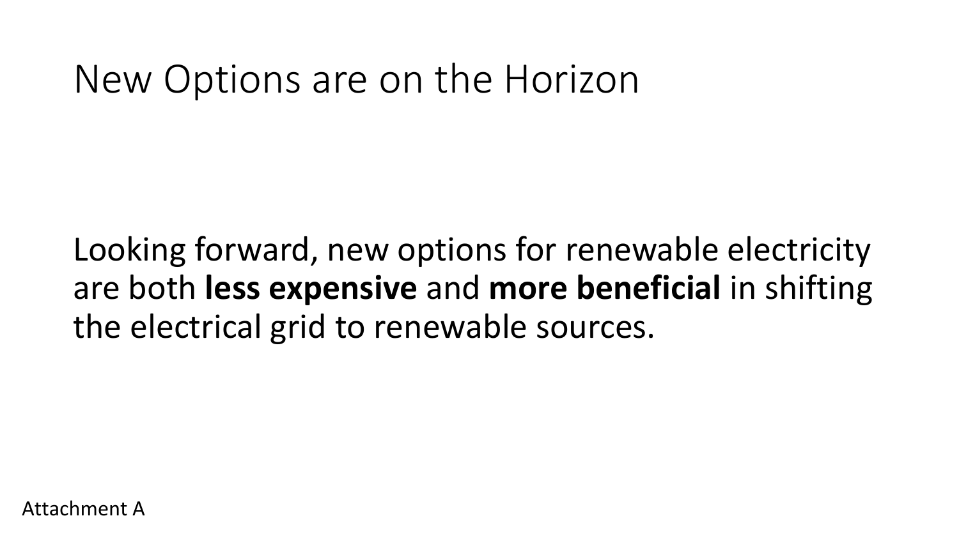### New Options are on the Horizon

Looking forward, new options for renewable electricity are both **less expensive** and **more beneficial** in shifting the electrical grid to renewable sources.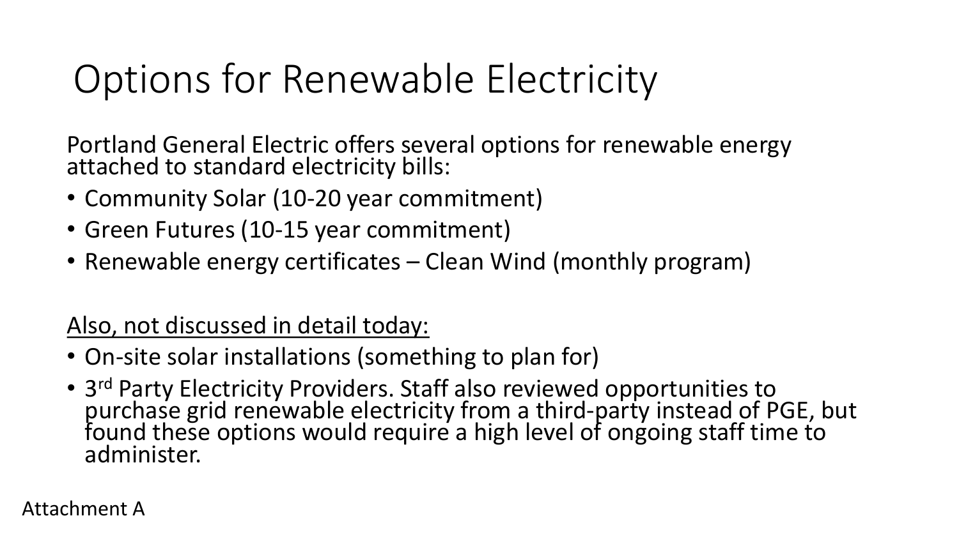## Options for Renewable Electricity

Portland General Electric offers several options for renewable energy attached to standard electricity bills:

- Community Solar (10-20 year commitment)
- Green Futures (10-15 year commitment)
- Renewable energy certificates Clean Wind (monthly program)

### Also, not discussed in detail today:

- On-site solar installations (something to plan for)
- 3rd Party Electricity Providers. Staff also reviewed opportunities to purchase grid renewable electricity from a third-party instead of PGE, but found these options would require a high level of ongoing staff time to administer.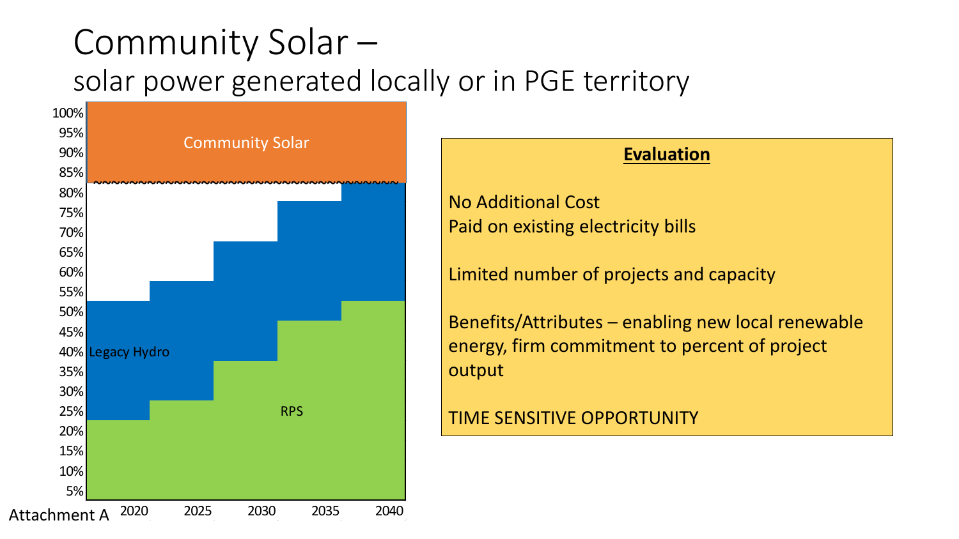### Community Solar – solar power generated locally or in PGE territory



### **Evaluation**

No Additional Cost Paid on existing electricity bills

Limited number of projects and capacity

Benefits/Attributes – enabling new local renewable energy, firm commitment to percent of project output

TIME SENSITIVE OPPORTUNITY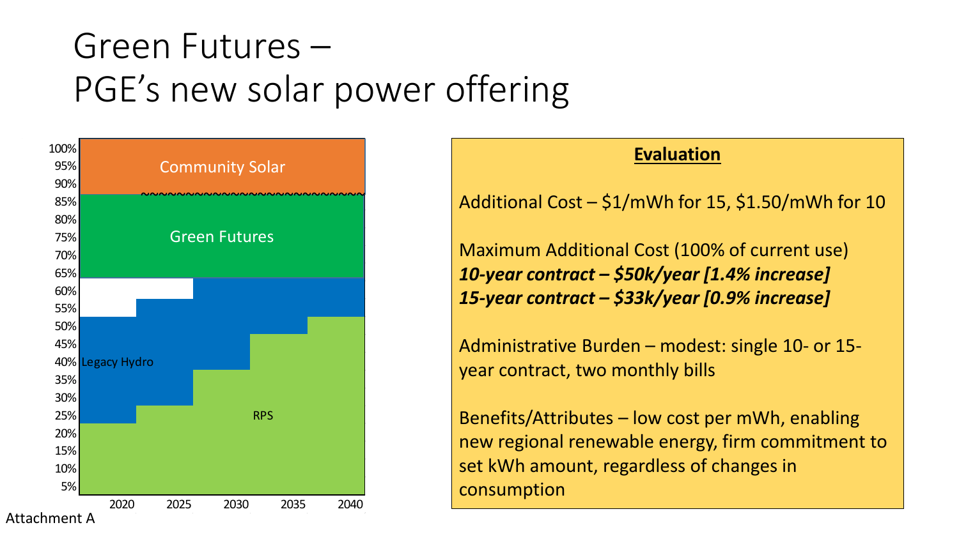### Green Futures – PGE's new solar power offering



### **Evaluation**

Additional Cost – \$1/mWh for 15, \$1.50/mWh for 10

Maximum Additional Cost (100% of current use) *10-year contract – \$50k/year [1.4% increase] 15-year contract – \$33k/year [0.9% increase]*

Administrative Burden – modest: single 10- or 15 year contract, two monthly bills

Benefits/Attributes – low cost per mWh, enabling new regional renewable energy, firm commitment to set kWh amount, regardless of changes in consumption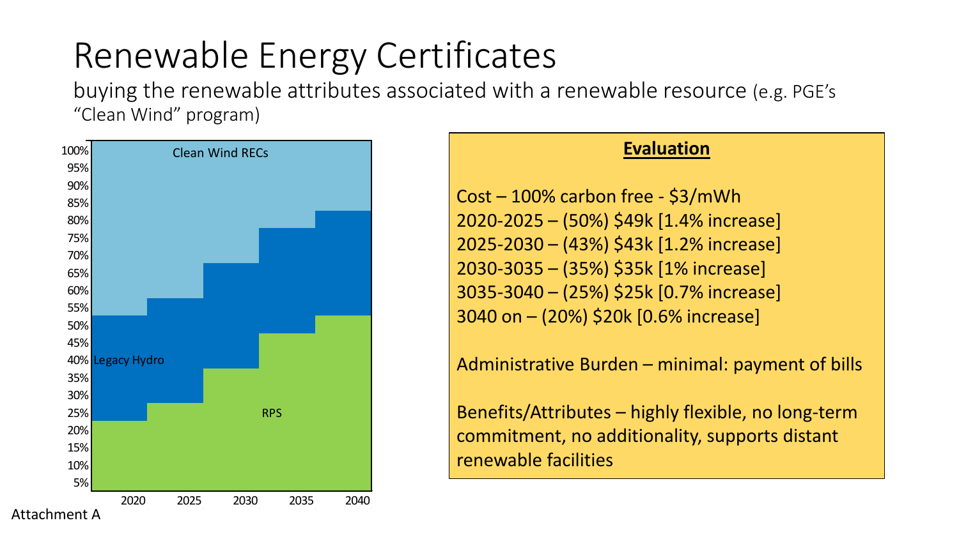### Renewable Energy Certificates

buying the renewable attributes associated with a renewable resource (e.g. PGE's "Clean Wind" program)



### **Evaluation**

Cost – 100% carbon free - \$3/mWh 2020-2025 – (50%) \$49k [1.4% increase] 2025-2030 – (43%) \$43k [1.2% increase] 2030-3035 – (35%) \$35k [1% increase] 3035-3040 – (25%) \$25k [0.7% increase] 3040 on – (20%) \$20k [0.6% increase]

Administrative Burden – minimal: payment of bills

Benefits/Attributes – highly flexible, no long-term commitment, no additionality, supports distant renewable facilities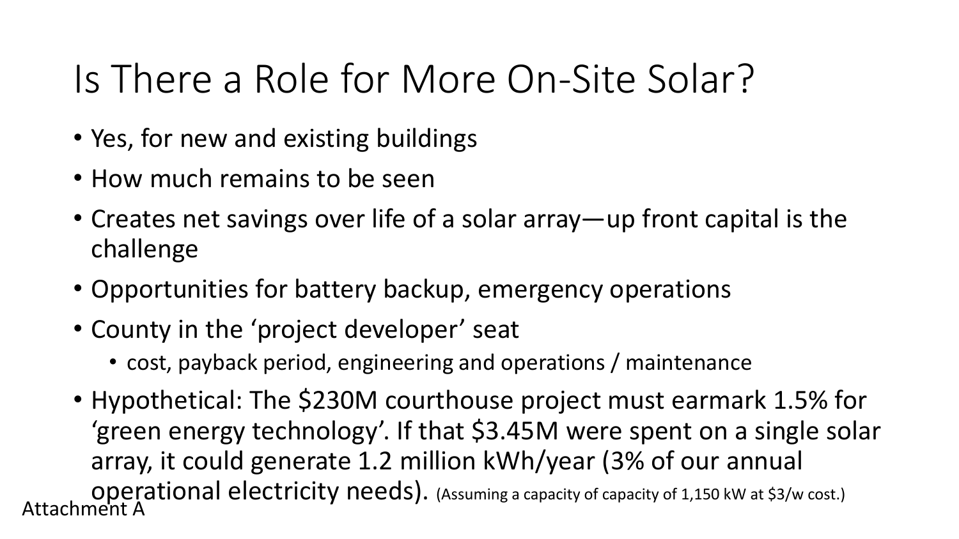## Is There a Role for More On-Site Solar?

- Yes, for new and existing buildings
- How much remains to be seen
- Creates net savings over life of a solar array—up front capital is the challenge
- Opportunities for battery backup, emergency operations
- County in the 'project developer' seat
	- cost, payback period, engineering and operations / maintenance
- Hypothetical: The \$230M courthouse project must earmark 1.5% for 'green energy technology'. If that \$3.45M were spent on a single solar array, it could generate 1.2 million kWh/year (3% of our annual operational electricity needs). (Assuming a capacity of capacity of 1,150 kW at \$3/w cost.) Attachment A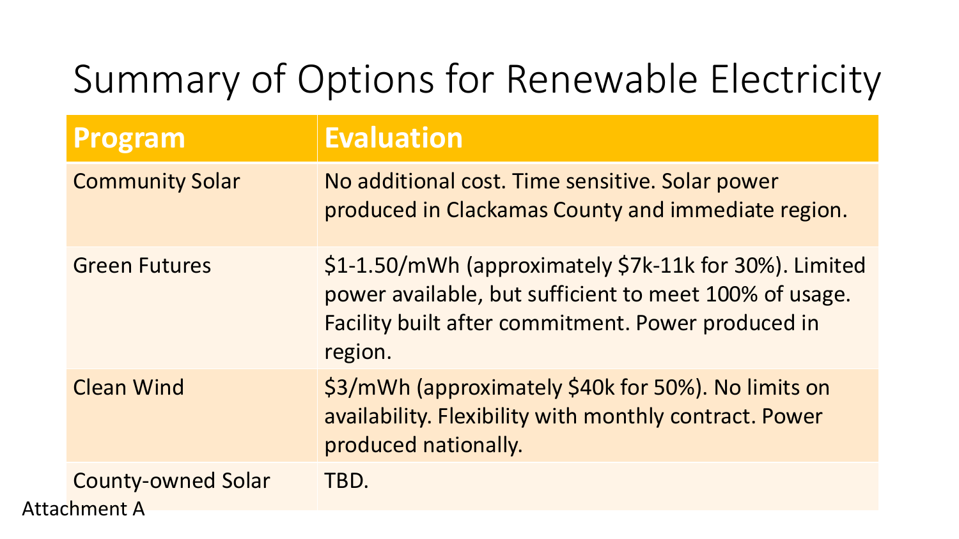## Summary of Options for Renewable Electricity

| Program                                          | <b>Evaluation</b>                                                                                                                                                                 |
|--------------------------------------------------|-----------------------------------------------------------------------------------------------------------------------------------------------------------------------------------|
| <b>Community Solar</b>                           | No additional cost. Time sensitive. Solar power<br>produced in Clackamas County and immediate region.                                                                             |
| <b>Green Futures</b>                             | \$1-1.50/mWh (approximately \$7k-11k for 30%). Limited<br>power available, but sufficient to meet 100% of usage.<br>Facility built after commitment. Power produced in<br>region. |
| <b>Clean Wind</b>                                | \$3/mWh (approximately \$40k for 50%). No limits on<br>availability. Flexibility with monthly contract. Power<br>produced nationally.                                             |
| <b>County-owned Solar</b><br><b>Attachment A</b> | TBD.                                                                                                                                                                              |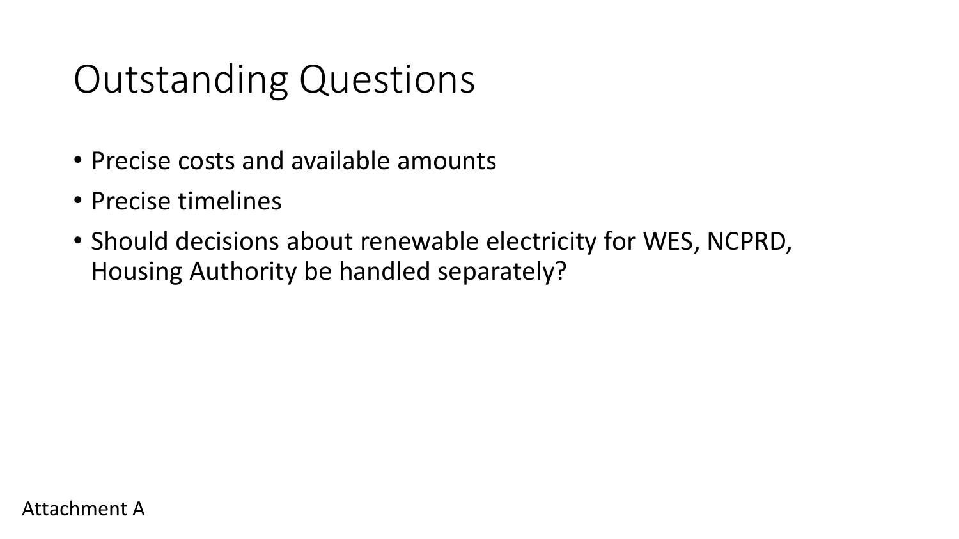## Outstanding Questions

- Precise costs and available amounts
- Precise timelines
- Should decisions about renewable electricity for WES, NCPRD, Housing Authority be handled separately?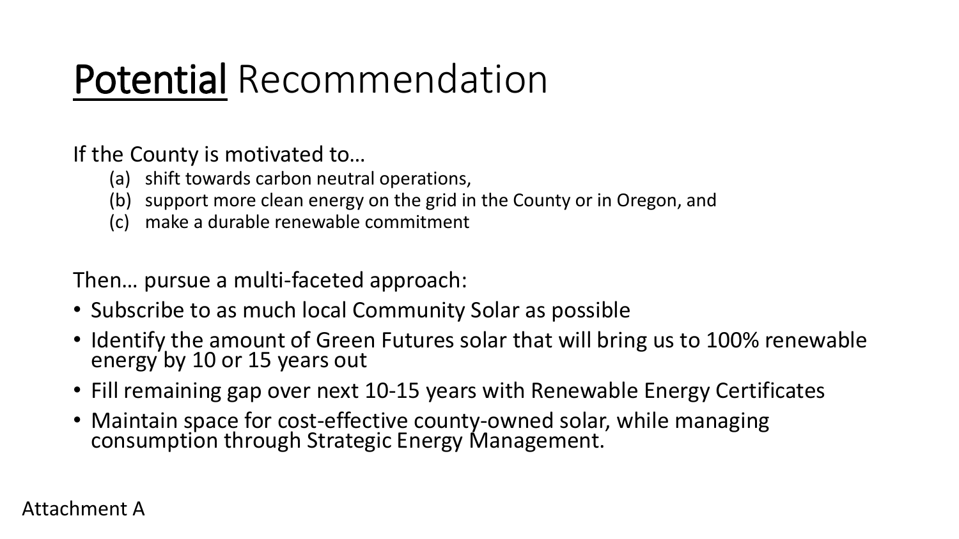## Potential Recommendation

If the County is motivated to…

- (a) shift towards carbon neutral operations,
- (b) support more clean energy on the grid in the County or in Oregon, and
- (c) make a durable renewable commitment

Then… pursue a multi-faceted approach:

- Subscribe to as much local Community Solar as possible
- Identify the amount of Green Futures solar that will bring us to 100% renewable energy by 10 or 15 years out
- Fill remaining gap over next 10-15 years with Renewable Energy Certificates
- Maintain space for cost-effective county-owned solar, while managing consumption through Strategic Energy Management.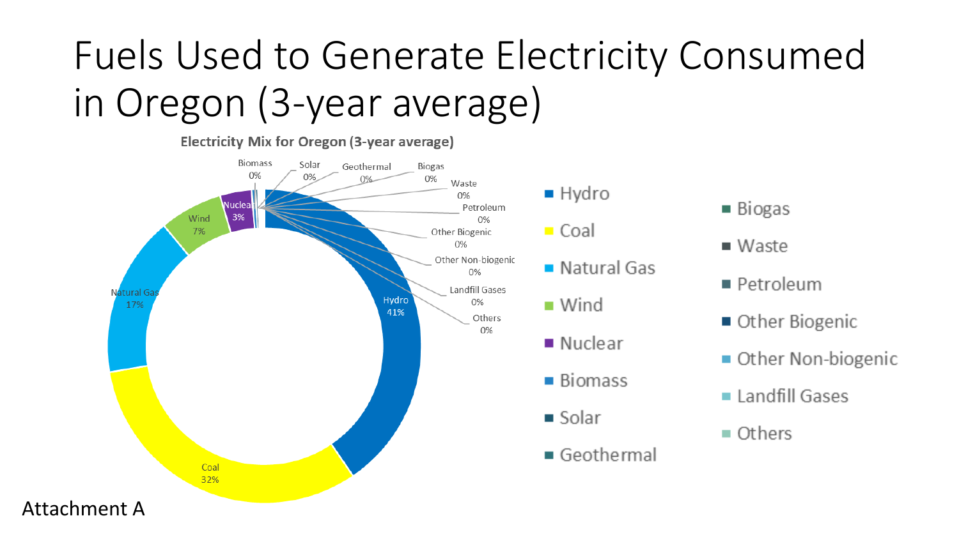## Fuels Used to Generate Electricity Consumed in Oregon (3-year average)



```
Biogas
```
- $Waste$
- Petroleum
- Other Biogenic
- Other Non-biogenic
- Landfill Gases
- $\blacksquare$  Others